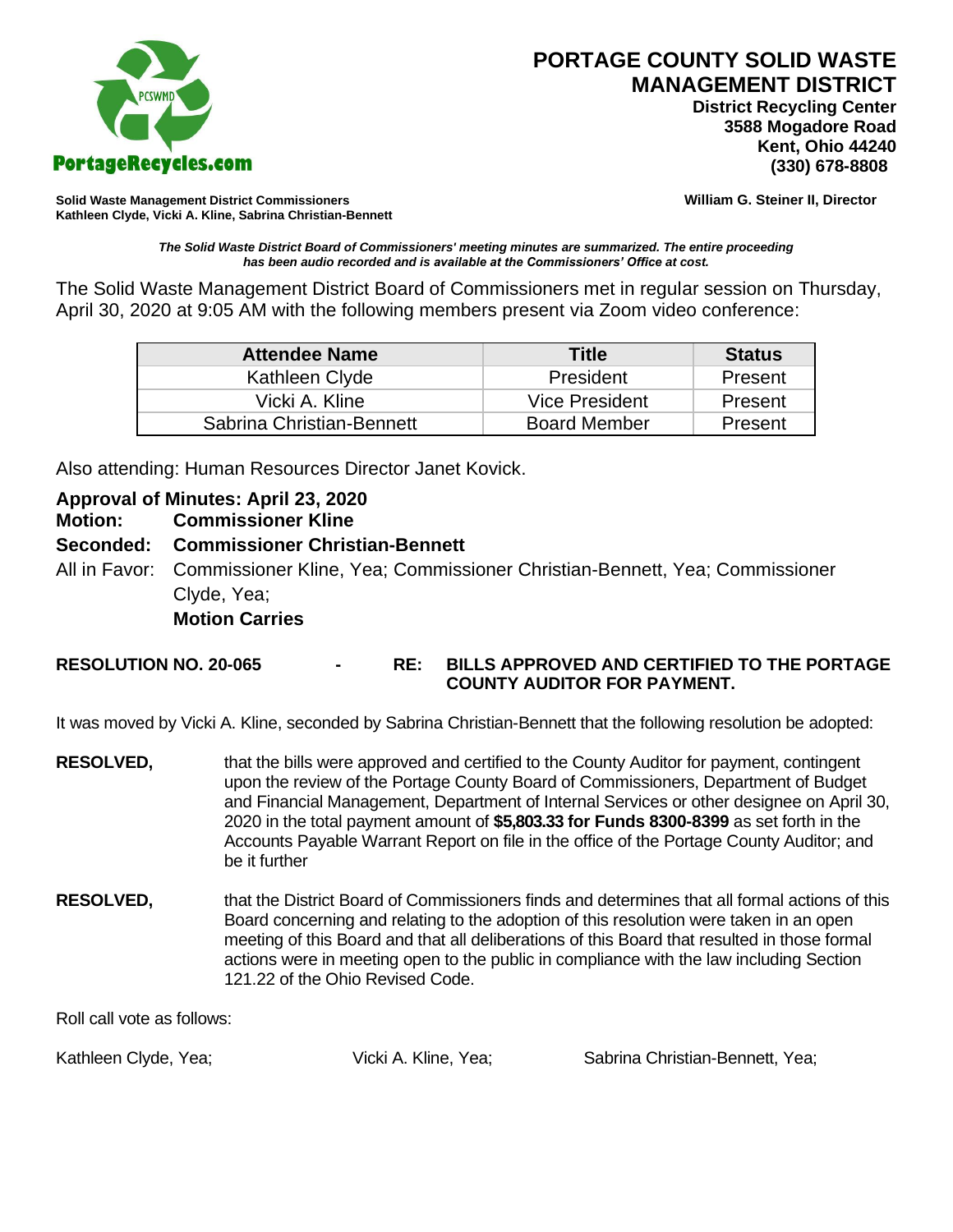

**PORTAGE COUNTY SOLID WASTE MANAGEMENT DISTRICT**

 **District Recycling Center 3588 Mogadore Road Kent, Ohio 44240**

**Solid Waste Management District Commissioners William G. Steiner II, Director Kathleen Clyde, Vicki A. Kline, Sabrina Christian-Bennett** 

*The Solid Waste District Board of Commissioners' meeting minutes are summarized. The entire proceeding has been audio recorded and is available at the Commissioners' Office at cost.*

The Solid Waste Management District Board of Commissioners met in regular session on Thursday, April 30, 2020 at 9:05 AM with the following members present via Zoom video conference:

| <b>Attendee Name</b>      | <b>Title</b>        | <b>Status</b> |
|---------------------------|---------------------|---------------|
| Kathleen Clyde            | President           | Present       |
| Vicki A. Kline            | Vice President      | Present       |
| Sabrina Christian-Bennett | <b>Board Member</b> | Present       |

Also attending: Human Resources Director Janet Kovick.

# **Approval of Minutes: April 23, 2020**

**Motion: Commissioner Kline** 

# **Seconded: Commissioner Christian-Bennett**

All in Favor: Commissioner Kline, Yea; Commissioner Christian-Bennett, Yea; Commissioner Clyde, Yea; **Motion Carries**

### **RESOLUTION NO. 20-065 - RE: BILLS APPROVED AND CERTIFIED TO THE PORTAGE COUNTY AUDITOR FOR PAYMENT.**

It was moved by Vicki A. Kline, seconded by Sabrina Christian-Bennett that the following resolution be adopted:

- **RESOLVED,** that the bills were approved and certified to the County Auditor for payment, contingent upon the review of the Portage County Board of Commissioners, Department of Budget and Financial Management, Department of Internal Services or other designee on April 30, 2020 in the total payment amount of **\$5,803.33 for Funds 8300-8399** as set forth in the Accounts Payable Warrant Report on file in the office of the Portage County Auditor; and be it further
- **RESOLVED,** that the District Board of Commissioners finds and determines that all formal actions of this Board concerning and relating to the adoption of this resolution were taken in an open meeting of this Board and that all deliberations of this Board that resulted in those formal actions were in meeting open to the public in compliance with the law including Section 121.22 of the Ohio Revised Code.

Roll call vote as follows:

Kathleen Clyde, Yea; The Clicki A. Kline, Yea; Sabrina Christian-Bennett, Yea;